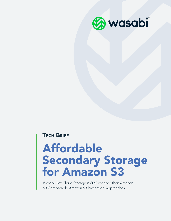

#### **TECH BRIEF**

# Affordable Secondary Storage for Amazon S3

Wasabi Hot Cloud Storage is 80% cheaper than Amazon S3 Comparable Amazon S3 Protection Approaches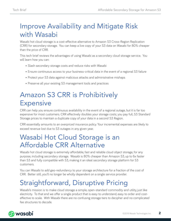# Improve Availability and Mitigate Risk with Wasabi

Wasabi hot cloud storage is a cost-effective alternative to Amazon S3 Cross-Region Replication (CRR) for secondary storage. You can keep a live copy of your S3 data on Wasabi for 80% cheaper than the price of CRR.

This tech brief reviews the advantages of using Wasabi as a secondary cloud storage service. You will learn how you can:

- Slash secondary storage costs and reduce risks with Wasabi
- Ensure continuous access to your business-critical data in the event of a regional S3 failure
- Protect your S3 data against malicious attacks and administrative mishaps
- Preserve all your existing S3 management tools and practices

# Amazon S3 CRR is Prohibitively **Expensive**

CRR can help you ensure continuous availability in the event of a regional outage, but it is far too expensive for most customers. CRR effectively doubles your storage costs; you pay full, S3 Standard Storage prices to maintain a duplicate copy of your data in a second S3 Region.

CRR essentially amounts to an overpriced insurance policy. Your incremental expenses are likely to exceed revenue lost due to S3 outages in any given year.

#### Wasabi Hot Cloud Storage is an Affordable CRR Alternative

Wasabi hot cloud storage is extremely affordable, fast and reliable cloud object storage, for any purpose, including secondary storage. Wasabi is 80% cheaper than Amazon S3, up to 6x faster than S3 and fully compatible with S3, making it an ideal secondary storage platform for S3 customers.

You can Wasabi to add geo-redundancy to your storage architecture for a fraction of the cost of CRR. Better still, you'll no longer be wholly dependent on a single service provider.

# Straightforward, Disruptive Pricing

Wasabi's mission is to make cloud storage a simple, open-standard commodity and utility, just like electricity. To that end we offer a single product that is easy to understand, easy to order and costeffective to scale. With Wasabi there are no confusing storage tiers to decipher and no complicated fee structures to decode.

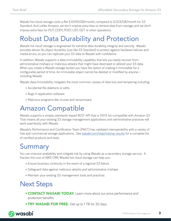Wasabi hot cloud storage costs a flat \$.0059/GB/month, compared to \$.023/GB/month for S3 Standard. And unlike Amazon, we don't impose extra fees to retrieve data from storage, and we don't impose extra fees for PUT, COPY, POST, LIST, GET or other operations.

# Robust Data Durability and Protection

Wasabi hot cloud storage is engineered for extreme data durability, integrity and security. Wasabi provides eleven 9s object durability (just like S3 Standard) to protect against hardware failures and media errors, so you can replicate your S3 data to Wasabi with confidence.

In addition, Wasabi supports a data immutability capability that lets you easily recover from administrative mishaps or malicious attacks that might have destroyed or altered your S3 data. When you create a Wasabi storage bucket you have the option of making it immutable for a configurable period of time. An immutable object cannot be deleted or modified by anyone including Wasabi.

Wasabi data immutability mitigates the most common causes of data loss and tampering including:

- Accidental file deletions or edits
- Bugs in application software
- Malicious programs like viruses and ransomware

#### Amazon Compatible

Wasabi supports a simple, standards-based REST API that is 100% bit-compatible with Amazon S3. That means all your existing S3 storage management applications and administrative practices will work seamlessly with Wasabi.

Wasabi's Performance and Certification Team (PACT) has validated interoperability with a variety of free and commercial storage applications. See [wasabi.com/help/interop-results](http://wasabi.com/help/interop-results) for a complete list of certified products and tools.

# Summary

You can improve availability and mitigate risk by using Wasabi as a secondary storage service. A fraction the cost of AWS CRR, Wasabi hot cloud storage can help you:

- Ensure business continuity in the event of a regional S3 failure
- Safeguard data against malicious attacks and administrative mishaps
- Maintain your existing S3 management tools and practices

# Next Steps

- •[CONTACT WASABI TODAY.](https://wasabi.com/contact/) Learn more about our price, performance and protection benefits.
- **[TRY WASABI FOR FREE.](http://www.wasabi.com/#free-trial)** Get up to 1 TB for 30 days.